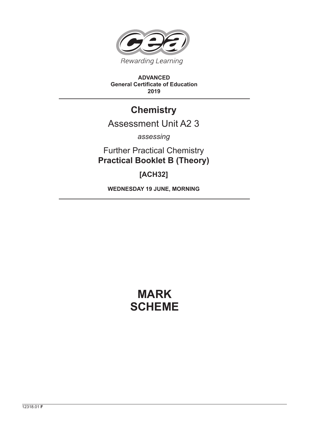

**ADVANCED General Certificate of Education 2019**

## **Chemistry**

## Assessment Unit A2 3

*assessing*

Further Practical Chemistry **Practical Booklet B (Theory)**

**[ACH32]**

**WEDNESDAY 19 JUNE, MORNING**

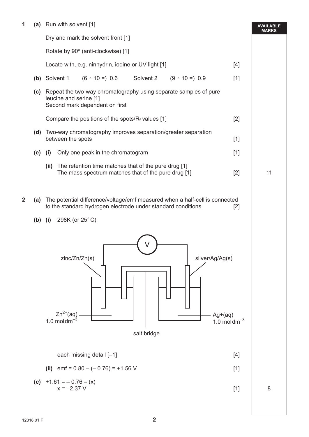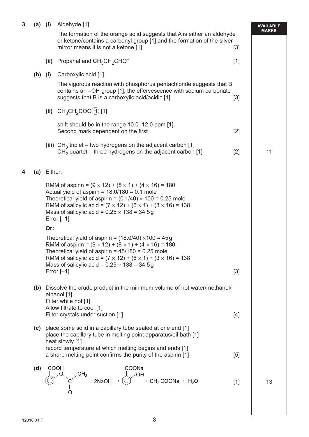| $\mathbf{3}$<br>$(a)$ (i) |     |                                                                                                                                                                                                                                                                                                                                                    | Aldehyde [1]                                                                                                                                                                                                                                                                                                                                      |       | <b>AVAILABLE</b> |  |
|---------------------------|-----|----------------------------------------------------------------------------------------------------------------------------------------------------------------------------------------------------------------------------------------------------------------------------------------------------------------------------------------------------|---------------------------------------------------------------------------------------------------------------------------------------------------------------------------------------------------------------------------------------------------------------------------------------------------------------------------------------------------|-------|------------------|--|
|                           |     |                                                                                                                                                                                                                                                                                                                                                    | The formation of the orange solid suggests that A is either an aldehyde<br>or ketone/contains a carbonyl group [1] and the formation of the silver<br>mirror means it is not a ketone [1]                                                                                                                                                         | $[3]$ | <b>MARKS</b>     |  |
|                           |     | (ii)                                                                                                                                                                                                                                                                                                                                               | Propanal and $CH_3CH_2CHO^+$                                                                                                                                                                                                                                                                                                                      | $[1]$ |                  |  |
|                           | (b) | (i)                                                                                                                                                                                                                                                                                                                                                | Carboxylic acid [1]                                                                                                                                                                                                                                                                                                                               |       |                  |  |
|                           |     |                                                                                                                                                                                                                                                                                                                                                    | The vigorous reaction with phosphorus pentachloride suggests that B<br>contains an -OH group [1], the effervescence with sodium carbonate<br>suggests that B is a carboxylic acid/acidic [1]                                                                                                                                                      | $[3]$ |                  |  |
|                           |     | (ii)                                                                                                                                                                                                                                                                                                                                               | $CH_3CH_2COO(H)$ [1]                                                                                                                                                                                                                                                                                                                              |       |                  |  |
|                           |     |                                                                                                                                                                                                                                                                                                                                                    | shift should be in the range 10.0–12.0 ppm [1]<br>Second mark dependent on the first                                                                                                                                                                                                                                                              | $[2]$ |                  |  |
|                           |     |                                                                                                                                                                                                                                                                                                                                                    | (iii) $CH3$ triplet – two hydrogens on the adjacent carbon [1]<br>$CH2$ quartet – three hydrogens on the adjacent carbon [1]                                                                                                                                                                                                                      | $[2]$ | 11               |  |
| 4                         | (a) | Either:                                                                                                                                                                                                                                                                                                                                            |                                                                                                                                                                                                                                                                                                                                                   |       |                  |  |
|                           |     | RMM of aspirin = $(9 \times 12) + (8 \times 1) + (4 \times 16) = 180$<br>Actual yield of aspirin = $18.0/180 = 0.1$ mole<br>Theoretical yield of aspirin = $(0.1/40) \times 100 = 0.25$ mole<br>RMM of salicylic acid = $(7 \times 12) + (6 \times 1) + (3 \times 16) = 138$<br>Mass of salicylic acid = $0.25 \times 138 = 34.5g$<br>Error $[-1]$ |                                                                                                                                                                                                                                                                                                                                                   |       |                  |  |
|                           |     | Or:                                                                                                                                                                                                                                                                                                                                                |                                                                                                                                                                                                                                                                                                                                                   |       |                  |  |
|                           |     |                                                                                                                                                                                                                                                                                                                                                    | Theoretical yield of aspirin = $(18.0/40) \times 100 = 45g$<br>RMM of aspirin = $(9 \times 12) + (8 \times 1) + (4 \times 16) = 180$<br>Theoretical yield of aspirin = $45/180 = 0.25$ mole<br>RMM of salicylic acid = $(7 \times 12) + (6 \times 1) + (3 \times 16) = 138$<br>Mass of salicylic acid = $0.25 \times 138 = 34.5g$<br>Error $[-1]$ | $[3]$ |                  |  |
|                           |     |                                                                                                                                                                                                                                                                                                                                                    | (b) Dissolve the crude product in the minimum volume of hot water/methanol/<br>ethanol [1]<br>Filter while hot [1]<br>Allow filtrate to cool [1]                                                                                                                                                                                                  |       |                  |  |
|                           |     |                                                                                                                                                                                                                                                                                                                                                    | Filter crystals under suction [1]                                                                                                                                                                                                                                                                                                                 | $[4]$ |                  |  |
|                           |     |                                                                                                                                                                                                                                                                                                                                                    | (c) place some solid in a capillary tube sealed at one end [1]<br>place the capillary tube in melting point apparatus/oil bath [1]<br>heat slowly [1]<br>record temperature at which melting begins and ends [1]<br>a sharp melting point confirms the purity of the aspirin [1]                                                                  | $[5]$ |                  |  |
|                           |     |                                                                                                                                                                                                                                                                                                                                                    |                                                                                                                                                                                                                                                                                                                                                   |       |                  |  |
|                           | (d) |                                                                                                                                                                                                                                                                                                                                                    | <b>COOH</b><br>COONa<br>$\begin{array}{ccc}\n & C\overline{H}_3 \\ & \overline{O} & +2NaOH \rightarrow \overline{O} & +CH_3COONa + H_2O\n\end{array}$                                                                                                                                                                                             | $[1]$ | 13               |  |